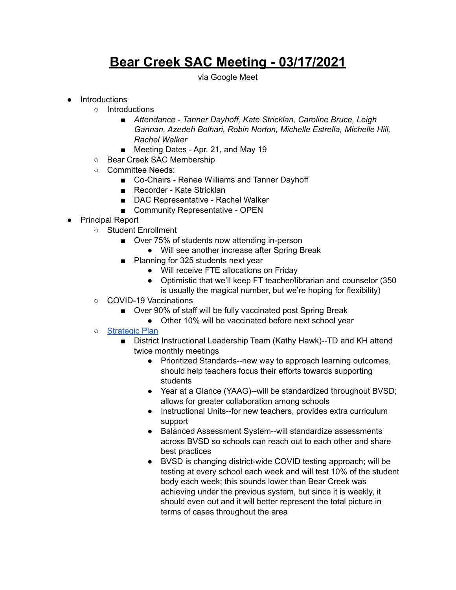## **Bear Creek SAC Meeting - 03/17/2021**

via Google Meet

## ● Introductions

- Introductions
	- *■ Attendance - Tanner Dayhoff, Kate Stricklan, Caroline Bruce, Leigh Gannan, Azedeh Bolhari, Robin Norton, Michelle Estrella, Michelle Hill, Rachel Walker*
	- *■* Meeting Dates Apr. 21, and May 19
- Bear Creek SAC Membership
- Committee Needs:
	- Co-Chairs Renee Williams and Tanner Dayhoff
	- Recorder Kate Stricklan
	- DAC Representative Rachel Walker
	- Community Representative OPEN
- Principal Report
	- Student Enrollment
		- Over 75% of students now attending in-person
			- Will see another increase after Spring Break
		- Planning for 325 students next year
			- Will receive FTE allocations on Friday
			- Optimistic that we'll keep FT teacher/librarian and counselor (350 is usually the magical number, but we're hoping for flexibility)
	- COVID-19 Vaccinations
		- Over 90% of staff will be fully vaccinated post Spring Break
			- Other 10% will be vaccinated before next school year
	- o [Strategic](https://www.bvsd.org/about/strategic-plan) Plan
		- District Instructional Leadership Team (Kathy Hawk)--TD and KH attend twice monthly meetings
			- Prioritized Standards--new way to approach learning outcomes, should help teachers focus their efforts towards supporting students
			- Year at a Glance (YAAG)--will be standardized throughout BVSD; allows for greater collaboration among schools
			- Instructional Units--for new teachers, provides extra curriculum support
			- Balanced Assessment System--will standardize assessments across BVSD so schools can reach out to each other and share best practices
			- BVSD is changing district-wide COVID testing approach; will be testing at every school each week and will test 10% of the student body each week; this sounds lower than Bear Creek was achieving under the previous system, but since it is weekly, it should even out and it will better represent the total picture in terms of cases throughout the area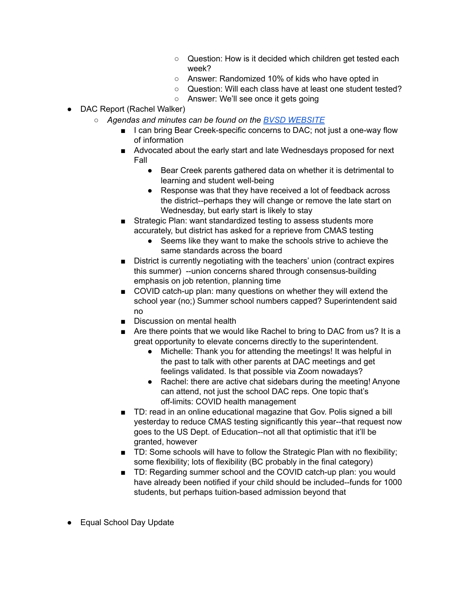- Question: How is it decided which children get tested each week?
- Answer: Randomized 10% of kids who have opted in
- Question: Will each class have at least one student tested?
- Answer: We'll see once it gets going
- *●* DAC Report (Rachel Walker)
	- *○ Agendas and minutes can be found on the BVSD [WEBSITE](https://www.bvsd.org/about/district-accountability-committee)*
		- I can bring Bear Creek-specific concerns to DAC; not just a one-way flow of information
		- Advocated about the early start and late Wednesdays proposed for next Fall
			- Bear Creek parents gathered data on whether it is detrimental to learning and student well-being
			- Response was that they have received a lot of feedback across the district--perhaps they will change or remove the late start on Wednesday, but early start is likely to stay
		- Strategic Plan: want standardized testing to assess students more accurately, but district has asked for a reprieve from CMAS testing
			- Seems like they want to make the schools strive to achieve the same standards across the board
		- District is currently negotiating with the teachers' union (contract expires this summer) --union concerns shared through consensus-building emphasis on job retention, planning time
		- COVID catch-up plan: many questions on whether they will extend the school year (no;) Summer school numbers capped? Superintendent said no
		- Discussion on mental health
		- Are there points that we would like Rachel to bring to DAC from us? It is a great opportunity to elevate concerns directly to the superintendent.
			- Michelle: Thank you for attending the meetings! It was helpful in the past to talk with other parents at DAC meetings and get feelings validated. Is that possible via Zoom nowadays?
			- Rachel: there are active chat sidebars during the meeting! Anyone can attend, not just the school DAC reps. One topic that's off-limits: COVID health management
		- TD: read in an online educational magazine that Gov. Polis signed a bill yesterday to reduce CMAS testing significantly this year--that request now goes to the US Dept. of Education--not all that optimistic that it'll be granted, however
		- TD: Some schools will have to follow the Strategic Plan with no flexibility; some flexibility; lots of flexibility (BC probably in the final category)
		- TD: Regarding summer school and the COVID catch-up plan: you would have already been notified if your child should be included--funds for 1000 students, but perhaps tuition-based admission beyond that
- Equal School Day Update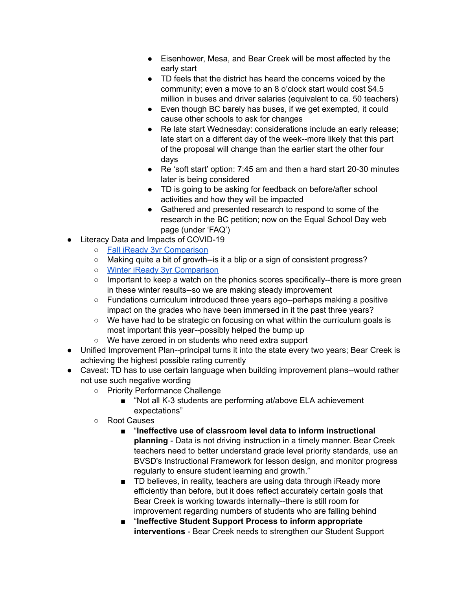- Eisenhower, Mesa, and Bear Creek will be most affected by the early start
- TD feels that the district has heard the concerns voiced by the community; even a move to an 8 o'clock start would cost \$4.5 million in buses and driver salaries (equivalent to ca. 50 teachers)
- Even though BC barely has buses, if we get exempted, it could cause other schools to ask for changes
- Re late start Wednesday: considerations include an early release; late start on a different day of the week--more likely that this part of the proposal will change than the earlier start the other four days
- Re 'soft start' option: 7:45 am and then a hard start 20-30 minutes later is being considered
- TD is going to be asking for feedback on before/after school activities and how they will be impacted
- Gathered and presented research to respond to some of the research in the BC petition; now on the Equal School Day web page (under 'FAQ')
- Literacy Data and Impacts of COVID-19
	- Fall iReady 3yr [Comparison](https://drive.google.com/file/d/144zr-YtHzlEsJyPxirxrQglLKhXYXdHu/view?usp=sharing)
	- Making quite a bit of growth--is it a blip or a sign of consistent progress?
	- o Winter iReady 3yr [Comparison](https://drive.google.com/file/d/167mVQyz0bp9iYKMUQKHQNAUEA_o5hK3u/view?usp=sharing)
	- Important to keep a watch on the phonics scores specifically--there is more green in these winter results--so we are making steady improvement
	- Fundations curriculum introduced three years ago--perhaps making a positive impact on the grades who have been immersed in it the past three years?
	- We have had to be strategic on focusing on what within the curriculum goals is most important this year--possibly helped the bump up
	- We have zeroed in on students who need extra support
- Unified Improvement Plan--principal turns it into the state every two years; Bear Creek is achieving the highest possible rating currently
- Caveat: TD has to use certain language when building improvement plans--would rather not use such negative wording
	- Priority Performance Challenge
		- "Not all K-3 students are performing at/above ELA achievement expectations"
	- Root Causes
		- "**Ineffective use of classroom level data to inform instructional planning** - Data is not driving instruction in a timely manner. Bear Creek teachers need to better understand grade level priority standards, use an BVSD's Instructional Framework for lesson design, and monitor progress regularly to ensure student learning and growth."
		- TD believes, in reality, teachers are using data through iReady more efficiently than before, but it does reflect accurately certain goals that Bear Creek is working towards internally--there is still room for improvement regarding numbers of students who are falling behind
		- "**Ineffective Student Support Process to inform appropriate interventions** - Bear Creek needs to strengthen our Student Support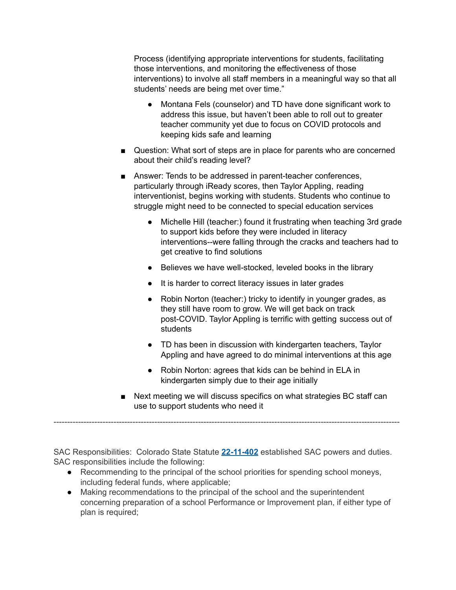Process (identifying appropriate interventions for students, facilitating those interventions, and monitoring the effectiveness of those interventions) to involve all staff members in a meaningful way so that all students' needs are being met over time."

- Montana Fels (counselor) and TD have done significant work to address this issue, but haven't been able to roll out to greater teacher community yet due to focus on COVID protocols and keeping kids safe and learning
- Question: What sort of steps are in place for parents who are concerned about their child's reading level?
- Answer: Tends to be addressed in parent-teacher conferences, particularly through iReady scores, then Taylor Appling, reading interventionist, begins working with students. Students who continue to struggle might need to be connected to special education services
	- Michelle Hill (teacher:) found it frustrating when teaching 3rd grade to support kids before they were included in literacy interventions--were falling through the cracks and teachers had to get creative to find solutions
	- Believes we have well-stocked, leveled books in the library
	- It is harder to correct literacy issues in later grades
	- Robin Norton (teacher:) tricky to identify in younger grades, as they still have room to grow. We will get back on track post-COVID. Taylor Appling is terrific with getting success out of students
	- TD has been in discussion with kindergarten teachers, Taylor Appling and have agreed to do minimal interventions at this age
	- Robin Norton: agrees that kids can be behind in ELA in kindergarten simply due to their age initially
- Next meeting we will discuss specifics on what strategies BC staff can use to support students who need it

SAC Responsibilities: Colorado State Statute **[22-11-402](http://www.lpdirect.net/casb/crs/22-11-402.html)** established SAC powers and duties. SAC responsibilities include the following:

-------------------------------------------------------------------------------------------------------------------------------

- Recommending to the principal of the school priorities for spending school moneys, including federal funds, where applicable;
- Making recommendations to the principal of the school and the superintendent concerning preparation of a school Performance or Improvement plan, if either type of plan is required;